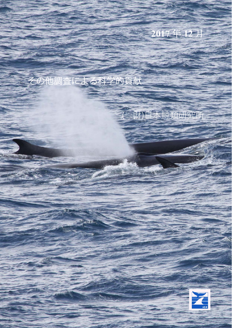## **2017** 年 **12** 月

## その他調査による科学的貢献

**COLE** 

1

# (一財)日本鯨類研究所

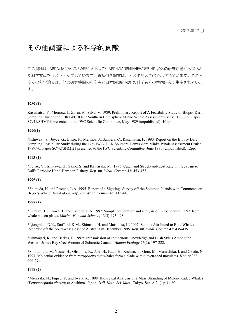### その他調査による科学的貢献

この資料は JARPA/JARPAII/NEWREP-A および JARPN/JARPNII/NEWREP-NP 以外の研究活動から得られ た科学文献をリストアップしています。査読付き論文は、アスタリスク(\*)で示されています。これら 多くの科学論文は、他の研究機関の科学者と日本鯨類研究所の科学者との共同研究で生産されていま す。

#### **1989 (1)**

Kasamatsu, F., Mermoz, J., Zorin, A., Silva, V. 1989. Preliminary Report of A Feasibility Study of Biopsy Dart Sampling During the 11th IWC/IDCR Southern Hemisphere Minke Whale Assessment Cruise, 1988/89. Paper SC/41/SHMi16 presented to the IWC Scientific Committee, May 1989 (unpublished). 10pp.

#### **1990(1)**

Nishiwaki, S., Joyce, G., Ensor, P., Mermoz, J., Sanpera, C., Kasamatsu, F. 1990. Report on the Biopsy Dart Sampling Feasibility Study during the 12th IWC/IDCR Southern Hemisphere Minke Whale Assessment Cruise, 1989/90. Paper SC/42/SHMi21 presented to the IWC Scientific Committee, June 1990 (unpublished). 12pp.

#### **1993 (1)**

\*Fujise, Y., Ishikawa, H., Saino, S. and Kawasaki, M.. 1993. Catch and Struck-and-Lost Rate in the Japanese Dall's Porpoise Hand-Harpoon Fishery. *Rep. int. Whal. Commn* 43: 453-457.

#### **1995 (1)**

\*Shimada, H. and Pastene, L.A. 1995. Report of a Sightings Survey off the Solomon Islands with Comments on Bryde's Whale Distribution. *Rep. Int. Whal. Commn* 45: 413-418.

#### **1997 (4)**

\*Kimura, T., Ozawa, T. and Pastene, L.A. 1997. Sample preparation and analysis of mitochondrial DNA from whale baleen plates. *Marine Mammal Science*, 13(3):495-498.

\*Ljungblad, D.K., Stafford, K.M., Shimada, H. and Matsuoka, K. 1997. Sounds Attributed to Blue Whales Recorded off the Southwest Coast of Australia in December 1995. *Rep. int. Whal. Commn* 47: 435-439.

\*Ohmagari, K. and Berkes, F. 1997: Transmission of Indigenous Knowledge and Bush Skills Among the Western James Bay Cree Women of Subarctic Canada. *Human Ecology* 25(2): 197-222.

\*Shimamura, M, Yasue, H., Ohshima, K., Abe, H., Kato, H., Kishiro, T., Goto, M., Munechika, I. and Okada, N. 1997. Molecular evidence from retroposons that whales form a clade within even-toed ungulates. *Nature* 388: 666-670.

#### **1998 (2)**

\*Miyazaki, N., Fujise, Y. and Iwata, K. 1998. Biological Analysis of a Mass Stranding of Melon-headed Whales (*Peponocephala electra*) at Aoshima. *Japan. Bull. Natn. Sci. Mus*., Tokyo, Ser. A 24(1): 31-60.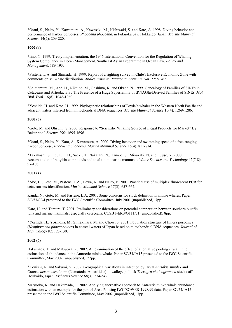\*Otani, S., Naito, Y., Kawamura, A., Kawasaki, M., Nishiwaki, S. and Kato, A. 1998. Diving behavior and performance of harbor porpoises, *Phocoena phocoena*, in Fukuoka bay, Hokkaido, Japan. *Marine Mammal Science* 14(2): 209-220.

#### **1999 (4)**

\*Iino, Y. 1999. Treaty Implementation: the 1946 International Convention for the Regulation of Whaling. System Compliance in Ocean Management. Southeast Asian Programme in Ocean Law. *Policy and Management*: 189-193.

\*Pastene, L.A. and Shimada, H. 1999. Report of a sighting survey in Chile's Exclusive Economic Zone with comments on sei whale distribution. *Anales Instituto Patagonia, Serie Cs. Nat.* 27: 51-62.

\*Shimamura, M., Abe, H., Nikaido, M., Ohshima, K. and Okada, N. 1999. Genealogy of Families of SINEs in Cetaceans and Artiodactyls : The Presence of a Huge Superfamily of tRNAGlu-Derived Families of SINEs. *Mol. Biol. Evol.* 16(8): 1046-1060.

\*Yoshida, H. and Kato, H. 1999. Phylogenetic relationships of Bryde's whales in the Western North Pacific and adjacent waters inferred from mitochondrial DNA sequences. *Marine Mammal Science* 15(4): 1269-1286.

#### **2000 (3)**

\*Goto, M. and Ohsumi, S. 2000. Response to "Scientific Whaling Source of illegal Products for Market" By Baker *et al*. *Science* 290: 1695-1696.

\*Otani, S., Naito, Y., Kato, A., Kawamura, A. 2000. Diving behavior and swimming speed of a free-ranging harbor porpoise, *Phocoena phocoena*. *Marine Mammal Science* 16(4): 811-814.

\*Takahashi, S., Le, L. T. H., Saeki, H., Nakatani, N., Tanabe, S., Miyazaki, N. and Fujise, Y. 2000. Accumulation of butyltin compounds and total tin in marine mammals. *Water Science and Technology* 42(7-8): 97-108.

#### **2001 (4)**

\*Abe, H., Goto, M., Pastene, L.A., Dewa, K. and Naito, E. 2001. Practical use of multiplex fluorescent PCR for cetacean sex identification. *Marine Mammal Science* 17(3): 657-664.

Kanda, N., Goto, M. and Pastene, L.A. 2001. Some concerns for stock definition in minke whales. Paper SC/53/SD4 presented to the IWC Scientific Committee, July 2001 (unpublished). 7pp.

Kato, H. and Tamura, T. 2001. Preliminary considerations on potential competition between southern bluefin tuna and marine mammals, especially cetaceans. CCSBT-ERS/O111/71 (unpublished). 8pp.

\*Yoshida, H., Yoshioka, M., Shirakihara, M. and Chow, S. 2001. Population structure of finless porpoises (*Neophocaena phocaenoides*) in coastal waters of Japan based on mitochondrial DNA sequences. *Journal of Mammalogy* 82: 123-130.

#### **2002 (6)**

Hakamada, T. and Matsuoka, K. 2002. An examination of the effect of alternative pooling strata in the estimation of abundance in the Antarctic minke whale. Paper SC/54/IA13 presented to the IWC Scientific Committee, May 2002 (unpublished). 27pp.

\*Konishi, K. and Sakurai, Y. 2002. Geographical variations in infection by larval *Anisakis simplex* and *Contracaecum osculatum* (Nematoda, Anisakidae) in walleye pollock *Theragra chalcogramma* stocks off Hokkaido, Japan. *Fisheries Science* 68(3): 534-542.

Matsuoka, K. and Hakamada, T. 2002. Applying alternative approach to Antarctic minke whale abundance estimation with an example for the part of Area IV using IWC/SOWER-1998/99 data. Paper SC/54/IA15 presented to the IWC Scientific Committee, May 2002 (unpublished). 7pp.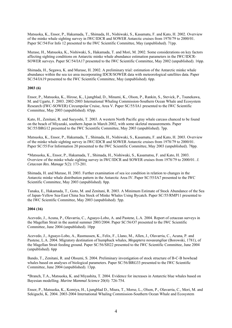Matsuoka, K., Ensor, P., Hakamada, T., Shimada, H., Nishiwaki, S., Kasamatu, F. and Kato, H. 2002. Overview of the minke whale sighting survey in IWC/IDCR and SOWER Antarctic cruises from 1978/79 to 2000/01. Paper SC/54/For Info 12 presented to the IWC Scientific Committee, May (unpublished). 71pp.

Murase, H., Matsuoka, K., Nishiwaki, S., Hakamada, T. and Mori, M. 2002. Some considerations on key factors affecting sighting conditions on Antarctic minke whale abundance estimation parameters in the IWC/IDCR-SOWER surveys. Paper SC/54/IA17 presented to the IWC Scientific Committee, May 2002 (unpublished). 16pp.

Shimada, H., Segawa, K. and Murase, H. 2002. A preliminary trial: estimation of the Antarctic minke whale abundance within the sea ice area incorporating IDCR/SOWER data with meteorological satellites data. Paper SC/54/IA19 presented to the IWC Scientific Committee, May (unpublished). 6pp.

#### **2003 (6)**

Ensor, P., Matsuoka, K., Hirose, K., Ljungblad, D., Minami, K., Olson, P., Rankin, S., Stevick, P., Tsunekawa, M. and Ugarte, F. 2003. 2002-2003 International Whaling Commission-Southern Ocean Whale and Ecosystem Research (IWC-SOWER) Circumpolar Cruise, Area V. Paper SC/55/IA1 presented to the IWC Scientific Committee, May 2003 (unpublished). 65pp.

Kato, H., Zenitani, R. and Sueyoshi, T. 2003. A western North Pacific gray whale carcass chanced to be found on the beach of Miyazaki, southern Japan in March 2002, with some skeletal measurements. Paper SC/55/BRG12 presented to the IWC Scientific Committee, May 2003 (unpublished). 7pp.

Matsuoka, K., Ensor, P., Hakamada, T., Shimada, H., Nishiwaki, S., Kasamatu, F. and Kato, H. 2003. Overview of the minke whale sighting survey in IWC/IDCR and SOWER Antarctic cruises from 1978/79 to 2000/01. Paper SC/55/For Information 20 presented to the IWC Scientific Committee, May 2003 (unpublished). 78pp.

\*Matsuoka, K., Ensor, P., Hakamada, T., Shimada, H., Nishiwaki, S., Kasamatsu, F. and Kato, H. 2003. Overview of the minke whale sighting survey in IWC/IDCR and SOWER cruises from 1978/79 to 2000/01. *J. Cetacean Res. Manage* 5(2): 173-201.

Shimada, H. and Murase, H. 2003. Further examination of sea ice condition in relation to changes in the Antarctic minke whale distribution pattern in the Antarctic Area IV. Paper SC/55/IA7 presented to the IWC Scientific Committee, May 2003 (unpublished). 8pp.

Tanaka, E., Hakamada, T., Goto, M. and Zenitani, R. 2003. A Minimum Estimate of Stock Abundance of the Sea of Japan-Yellow Sea-East China Sea Stock of Minke Whales Using Bycatch. Paper SC/55/RMP11 presented to the IWC Scientific Committee, May 2003 (unpublished). 5pp.

#### **2004 (16)**

Acevedo, J., Acuna, P., Olavarria, C., Aguayo-Lobo, A. and Pastene, L.A. 2004. Report of cetacean surveys in the Magellan Strait in the austral summer 2003/2004. Paper SC/56/O7 presented to the IWC Scientific Committee, June 2004 (unpublished). 10pp

Acevedo, J., Aguayo-Lobo, A., Rasmussen, K., Felix, F., Llano, M., Allen, J., Olavarria, C., Acuna, P. and Pastene, L.A. 2004. Migratory destination of humpback whales, *Megaptera novaeangliae* (Borowski, 1781), of the Magellan Strait feeding ground. Paper SC/56/SH22 presented to the IWC Scientific Committee, June 2004 (unpublished). 6pp

Bando, T., Zenitani, R. and Ohsumi, S. 2004. Preliminary investigation of stock structure of B-C-B bowhead whales based on analyses of biological parameters. Paper SC/56/BRG33 presented to the IWC Scientific Committee, June 2004 (unpublished). 13pp.

\*Branch, T.A., Matsuoka, K. and Miyashita, T. 2004. Evidence for increases in Antarctic blue whales based on Bayesian modelling. *Marine Mammal Science* 20(4): 726-754.

Ensor, P., Matsuoka, K., Komiya, H., Ljungblad D., Miura, T., Morse, L., Olson, P., Olavarria, C., Mori, M. and Sekiguchi, K. 2004. 2003-2004 International Whaling Commission-Southern Ocean Whale and Ecosystem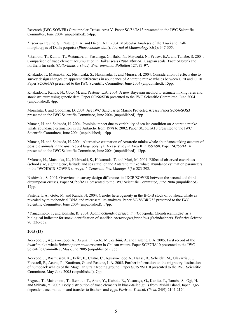Research (IWC-SOWER) Circumpolar Cruise, Area V. Paper SC/56/IA13 presented to the IWC Scientific Committee, June 2004 (unpublished). 54pp.

\*Escorza-Trevino, S., Pastene, L.A. and Dizon, A.E. 2004. Molecular Analyses of the Truei and Dalli morphotypes of Dall's porpoise (*Phocoenoides dalli*). *Journal of Mammalogy* 85(2): 347-355.

\*Ikemoto, T., Kunito, T., Watanabe, I., Yasunaga, G., Baba, N., Miyazaki, N., Petrov, E.A. and Tanabe, S. 2004. Comparison of trace element accumulation in Baikal seals (*Pusa sibirica*), Caspian seals (*Pusa caspica*) and northern fur seals (*Callorhinus ursinus*). *Environmental Pollution* 127: 83-97.

Kitakado, T., Matsuoka, K., Nishiwaki, S., Hakamada, T. and Murase, H. 2004. Consideration of effects due to survey design changes on apparent differences in abundance of Antarctic minke whales between CPII and CPIII. Paper SC/56/IA8 presented to the IWC Scientific Committee, June 2004 (unpublished). 15pp.

Kitakado,T., Kanda, N., Goto, M. and Pastene, L.A. 2004. A new Bayesian method to estimate mixing rates and stock structure using genetic data. Paper SC/56/SD8 presented to the IWC Scientific Committee, June 2004 (unpublished). 4pp.

Morishita, J. and Goodman, D. 2004. Are IWC Sanctuaries Marine Protected Areas? Paper SC/56/SOS3 presented to the IWC Scientific Committee, June 2004 (unpublished). 5pp.

Murase, H. and Shimada, H. 2004. Possible impact due to variability of sea ice condition on Antarctic minke whale abundance estimation in the Antarctic from 1978 to 2002. Paper SC/56/IA10 presented to the IWC Scientific Committee, June 2004 (unpublished). 15pp.

Murase, H. and Shimada, H. 2004. Alternative estimation of Antarctic minke whale abundance taking account of possible animals in the unsurveyed large polynya: A case study in Area II in 1997/98. Paper SC/56/IA14 presented to the IWC Scientific Committee, June 2004 (unpublished). 13pp.

\*Murase, H., Matsuoka, K., Nishiwaki, S., Hakamada, T. and Mori, M. 2004. Effect of observed covariates (school size, sighting cue, latitude and sea state) on the Antarctic minke whale abundance estimation parameters in the IWC/IDCR-SOWER surveys. *J. Cetacean. Res. Manage*. 6(3): 283-292.

Nishiwaki, S. 2004. Overview on survey design differences in IDCR/SOWER between the second and third circumpolar cruises. Paper SC/56/IA11 presented to the IWC Scientific Committee, June 2004 (unpublished). 17pp.

Pastene, L.A., Goto, M. and Kanda, N. 2004. Genetic heterogeneity in the B-C-B stock of bowhead whale as revealed by mitochondrial DNA and microsatellite analyses. Paper SC/56/BRG32 presented to the IWC Scientific Committee, June 2004 (unpublished). 17pp.

\*Yanagimoto, T. and Konishi, K. 2004. *Acanthochondria priacanthi* (Copepoda: Chondracanthidae) as a biological indicator for stock identification of sandfish *Arctoscopus japonicus* (Steindachner). *Fisheries Science* 70: 336-338.

#### **2005 (13)**

Acevedo, J., Aguayo-Lobo, A., Acuna, P., Goto, M., Zerbini, A. and Pastene, L.A. 2005. First record of the dwarf minke whale *Balaenoptera acutorostrata* in Chilean waters. Paper SC/57/IA10 presented to the IWC Scientific Committee, May-June 2005 (unpublished). 8pp.

Acevedo, J., Rasmussen, K., Felix, F., Castro, C., Aguayo-Lobo A., Haase, B., Scheidat, M., Olavarria, C., Forestell, P., Acuna, P., Kaufman, G. and Pastene, L.A. 2005. Further information on the migratory destination of humpback whales of the Magellan Strait feeding ground. Paper SC/57/SH10 presented to the IWC Scientific Committee, May-June 2005 (unpublished). 7pp.

\*Agusa, T., Matsumoto, T., Ikemoto, T., Anan, Y., Kubota, R., Yasunaga, G., Kunito, T., Tanabe, S., Ogi, H. and Shibata, Y. 2005. Body distribution of trace elements in black-tailed gulls from Rishiri Island, Japan: agedependent accumulation and transfer to feathers and eggs. *Environ. Toxicol. Chem*. 24(9):2107-2120.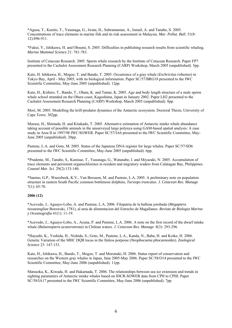\*Agusa, T., Kunito, T., Yasunaga, G., Iwata, H., Subramanian, A., Ismail, A. and Tanabe, S. 2005. Concentrations of trace elements in marine fish and its risk assessment in Malaysia. *Mar. Pollut. Bull*. 51(8- 12):896-911.

\*Fukui, Y., Ishikawa, H. and Ohsumi, S. 2005. Difficulties in publishing research results from scientific whaling. *Marine Mammal Science* 21: 781-783.

Institute of Cetacean Research. 2005. Sperm whale research by the Institute of Cetacean Research. Paper FP7 presented to the Cachalot Assessment Research Planning (CARP) Workshop, March 2005 (unpublished). 5pp.

Kato, H. Ishikawa, H., Mogoe, T. and Bando, T. 2005. Occurrence of a gray whale (*Eschrictius robustus*) in Tokyo Bay, April - May 2005, with its biological information. Paper SC/57/BRG18 presented to the IWC Scientific Committee, May-June 2005 (unpublished). 12pp.

Kato, H., Kishiro, T., Bando, T., Ohata, K. and Tamai, K. 2005. Age and body length structure of a male sperm whale school stranded on the Ohura coast, Kagoshima, Japan in January 2002. Paper LH2 presented to the Cachalot Assessment Research Planning (CARP) Workshop, March 2005 (unpublished). 8pp.

Mori, M. 2005. Modelling the krill-predator dynamics of the Antarctic ecosystem. Doctoral Thesis, University of Cape Town. 302pp.

Murase, H., Shimada, H. and Kitakado, T. 2005. Alternative estimation of Antarctic minke whale abundance taking account of possible animals in the unsurveyed large polynya using GAM-based spatial analysis: A case study in Area II in 1997/98 IWC/SOWER. Paper SC/57/IA6 presented to the IWC Scientific Committee, May-June 2005 (unpublished). 20pp.

Pastene, L.A. and Goto, M. 2005. Status of the Japanese DNA register for large whales. Paper SC/57/SD6 presented to the IWC Scientific Committee, May-June 2005 (unpublished). 6pp.

\*Prudente, M., Tanabe, S., Kunisue, T., Yasunaga, G., Watanabe, I. and Miyazaki, N. 2005. Accumulation of trace elements and persistent organochlorines in resident and migratory waders from Calatagan Bay, Philippines. *Coastal Mar. Sci*. 29(2):133-140.

\*Sanino, G.P., Waerebeek, K.V., Van Bressem, M. and Pastene, L.A. 2005. A preliminary note on population structure in eastern South Pacific common bottlenose dolphins, *Tursiops truncatus*. *J. Cetacean Res. Manage* 7(1): 65-70.

#### **2006 (12)**

\*Acevedo, J., Aguayo-Lobo, A. and Pastene, L.A. 2006. Filopatria de la ballena jorobada (*Megaptera novaeangliae* Borowski, 1781), al area de alimentacion del Estrecho de Magallanes. *Revista de Biologia Marina y Oceanografia* 41(1): 11-19.

\*Acevedo, J., Aguayo-Lobo, A., Acuna, P. and Pastene, L.A. 2006. A note on the first record of the dwarf minke whale (*Balaenoptera acutorostrata*) in Chilean waters. *J. Cetacean Res. Manage*. 8(3): 293-296.

\*Hayashi, K., Yoshida, H., Nishida, S., Goto, M., Pastene, L.A., Kanda, N., Baba, H. and Koike, H. 2006. Genetic Variation of the MHC DQB locus in the finless porpoise (*Neophocaena phocaenoides*). *Zoological Science* 23: 147-153.

Kato, H., Ishikawa, H., Bando, T., Mogoe, T. and Moronuki, H. 2006. Status report of conservation and researches on the Western gray whales in Japan, June 2005-May 2006. Paper SC/58/O14 presented to the IWC Scientific Committee, May-June 2006 (unpublished). 11pp.

Matsuoka, K., Kiwada, H. and Hakamada, T. 2006. The relationships between sea ice extension and trends in sighting parameters of Antarctic minke whales based on IDCR-SOWER data from CPII to CPIII. Paper SC/58/IA17 presented to the IWC Scientific Committee, May-June 2006 (unpublished). 7pp.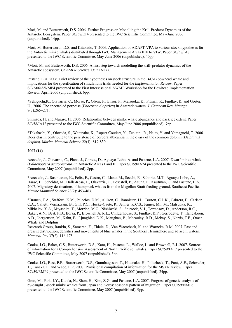Mori, M. and Butterworth, D.S. 2006. Further Progress on Modelling the Krill-Predator Dynamics of the Antarctic Ecosystem. Paper SC/58/E14 presented to the IWC Scientific Committee, May-June 2006 (unpublished). 14pp.

Mori, M. Butterworth, D.S. and Kitakado, T. 2006. Application of ADAPT-VPA to various stock hypotheses for the Antarctic minke whales distributed through IWC Management Areas IIIE to VIW. Paper SC/58/IA8 presented to the IWC Scientific Committee, May-June 2006 (unpublished). 40pp.

\*Mori, M. and Butterworth, D.S. 2006. A first step towards modelling the krill–predator dynamics of the Antarctic ecosystem. *CCAMLR Science* 13: 217-277.

Pastene, L.A. 2006. Brief review of the hypotheses on stock structure in the B-C-B bowhead whale and implications for the specification of simulations trials needed for the *Implementation Review*. Paper SC/A06/AWMP4 presented to the First Intersessional AWMP Workshop for the Bowhead Implementation Review, April 2006 (unpublished). 6pp.

\*Sekiguchi,K., Olavarria, C., Morse, P., Olson, P., Ensor, P., Matsuoka, K., Pitman, R., Findlay, K. and Gorter, U., 2006. The spectacled porpoise (*Phocoena dioptrica*) in Antarctic waters. *J. Cetacean Res. Manage*. 8(3):265–271.

Shimada, H. and Murase, H. 2006. Relationship between minke whale abundance and pack ice extent. Paper SC/58/IA12 presented to the IWC Scientific Committee, May-June 2006 (unpublished). 7pp.

\*Takahashi, Y., Ohwada, S., Watanabe, K., Ropert-Coudert, Y., Zenitani, R., Naito, Y. and Yamaguchi, T. 2006. Does elastin contribute to the persistence of corpora albicantia in the ovary of the common dolphin (*Delphinus delphis*). *Marine Mammal Science* 22(4): 819-830.

#### **2007 (14)**

Acevedo, J., Olavarria, C., Plana, J., Cortes., D., Aguayo-Lobo, A. and Pastene, L.A. 2007. Dwarf minke whale (*Balaenoptera acutorostrata*) in Antarctic Areas I and II. Paper SC/59/IA24 presented to the IWC Scientific Committee, May 2007 (unpublished). 8pp.

\*Acevedo, J., Rasmussen, K., Felix, F., Castro, C., Llano, M., Secchi, E., Saborio, M.T., Aguayo-Lobo, A., Haase, B., Scheidat, M., Dalla-Rosa, L., Olavarria, C., Fosestell, P., Acuna, P., Kaufman, G. and Pastene, L.A. 2007. Migratory destinations of humpback whales from the Magellan Strait feeding ground, Southeast Pacific. *Marine Mammal Science* 23(2): 453-463.

\*Branch, T.A., Stafford, K.M., Palacios, D.M., Allison, C., Bannister, J.L., Burton, C.L.K., Cabrera, E., Carlson, C.A., Galletti Vernazzani, B., Gill, P.C., Hucke-Gaete, R., Jenner, K.C.S., Jenner, Mn. M., Matsuoka, K., Mikhalev, Y.A., Miyashita, T., Morrice, M.G., Nishiwaki, S., Sturrock, V.J., Tormosov, D., Anderson, R.C., Baker, A.N., Best, P.B., Borsa, P., Brownell Jr, R.L., Childerhouse, S., Findlay, K.P., Gerrodette, T., Ilangakoon, A.D., Joergensen, M., Kahn, B., Ljungblad, D.K., Maughan, B., Mccauley, R.D., Mckay, S., Norris, T.F., Oman Whale and Dolphin

Research Group, Rankin, S., Samaran, F., Thiele, D., Van Waerebeek, K. and Warneke, R.M. 2007. Past and present distribution, densities and movements of blue whales in the Southern Hemisphere and adjacent waters. *Mammal Rev* 37(2): 116-175.

Cooke, J.G., Baker, C.S., Butterworth, D.S., Kato, H., Pastene, L., Walloe, L. and Brownell, R.L.2007. Sources of information for a Comprehensive Assessment of North Pacific sei whales. Paper SC/59/IA17 presented to the IWC Scientific Committee, May 2007 (unpublished). 5pp.

Cooke, J.G., Best, P.B., Butterworth, D.S., Gunnlaugsson, T., Hatanaka, H., Polacheck, T., Punt, A.E., Schweder, T., Tanaka, E. and Wade, P.R. 2007. Provisional compilation of information for the MSYR review. Paper SC/59/RMP9 presented to the IWC Scientific Committee, May 2007 (unpublished). 24pp.

Goto, M., Park, J.Y., Kanda, N., Shon, H., Kim, Z.G., and Pastene, L.A. 2007. Progress of genetic analysis of by-caught J-stock minke whales from Japan and Korea: seasonal pattern of migration. Paper SC/59/NMP6 presented to the IWC Scientific Committee, May 2007 (unpublished). 9pp.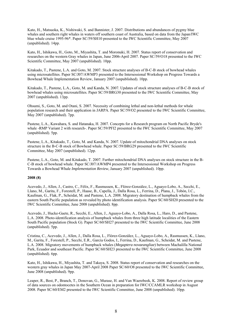Kato, H., Matsuoka, K., Nishiwaki, S. and Bannister, J. 2007. Distributions and abundances of pygmy blue whales and southern right whales in waters off southern coast of Australia, based on data from the Japan/IWC blue whale cruise 1995-96\*. Paper SC/59/SH10 presented to the IWC Scientific Committee, May 2007 (unpublished). 14pp.

Kato, H., Ishikawa, H., Goto, M., Miyashita, T. and Moronuki, H. 2007. Status report of conservation and researches on the western Gray whales in Japan, June 2006-April 2007. Paper SC/59/O18 presented to the IWC Scientific Committee, May 2007 (unpublished). 10pp.

Kitakado, T., Pastene, L.A. and Goto, M. 2007. Stock structure analyses of B-C-B stock of bowhead whales using microsatellites. Paper SC/J07/AWMP3 presented to the Intersessional Workshop on Progress Towards a Bowhead Whale Implementation Review, January 2007 (unpublished). 10pp.

Kitakado, T., Pastene, L.A., Goto, M. and Kanda, N. 2007. Updates of stock structure analyses of B-C-B stock of bowhead whales using microsatellites. Paper SC/59/BRG30 presented to the IWC Scientific Committee, May 2007 (unpublished). 13pp.

Ohsumi, S., Goto, M. and Otani, S. 2007. Necessity of combining lethal and non-lethal methods for whale population research and their application in JARPA. Paper SC/59/O2 presented to the IWC Scientific Committee, May 2007 (unpublished). 7pp.

Pastene, L.A., Kawahara, S. and Hatanaka, H. 2007. Concepts for a Research program on North Pacific Bryde's whale -RMP Variant 2 with research-. Paper SC/59/PFI2 presented to the IWC Scientific Committee, May 2007 (unpublished). 5pp.

Pastene, L.A., Kitakado, T., Goto, M. and Kanda, N. 2007. Update of mitochondrial DNA analyses on stock structure in the B-C-B stock of Bowhead whale. Paper SC/59/BRG29 presented to the IWC Scientific Committee, May 2007 (unpublished). 12pp.

Pastene, L.A., Goto, M. and Kitakado, T. 2007. Further mitochondrial DNA analyses on stock structure in the B-C-B stock of bowhead whale. Paper SC/J07/AWMP4 presented to the Intersessional Workshop on Progress Towards a Bowhead Whale *Implementation Review*, January 2007 (unpublished). 10pp.

#### **2008 (8)**

Acevedo, J., Allen, J., Castro, C., Félix, F., Rasmussen, K., Flórez-González, L., Aguayo-Lobo, A., Secchi, E., Llano, M., Garita, F., Forestell, P., Haase, B., Capella, J., Dalla Rosa, L., Ferrina, D., Plana, J., Tobón, I.C., Kaufman, G., Flak, P., Scheidat, M. and Pastene, L.A. 2008. Migratory destination of humpback whales from the eastern South Pacific population as revealed by photo identification analysis. Paper SC/60/SH20 presented to the IWC Scientific Committee, June 2008 (unpublished). 8pp.

Acevedo, J., Hucke-Gaete, R., Secchi, E., Allen, J., Aguayo-Lobo, A., Dalla Rosa, L., Haro, D., and Pastene, L.A. 2008. Photo-identification analysis of humpback whales from three high latitude localities of the Eastern South Pacific population (Stock G). Paper SC/60/SH27 presented to the IWC Scientific Committee, June 2008 (unpublished). 5pp.

Cristina, C., Acevedo, J., Allen, J., Dalla Rosa, L., Flórez-González, L., Aguayo-Lobo, A., Rasmussen, K., Llano, M., Garita, F., Forestell, P., Secchi, E.R., García Godos, I., Ferrina, D., Kaufman, G., Scheidat, M. and Pastene, L.A. 2008. Migratory movements of humpback whales (*Megaptera novaeangliae*) between Machalilla National Park, Ecuador and southeast Pacific. Paper SC/60/SH23 presented to the IWC Scientific Committee, June 2008 (unpublished). 6pp.

Kato, H., Ishikawa, H., Miyashita, T. and Takaya, S. 2008. Status report of conservation and researches on the western gray whales in Japan May 2007-April 2008 Paper SC/60/O8 presented to the IWC Scientific Committee, June 2008 (unpublished). 9pp.

Leaper, R., Best, P., Branch, T., Donovan, G., Murase, H. and Van Waerebeek, K. 2008. Report of review group of data sources on odontocetes in the Southern Ocean in preparation for IWC/CCAMLR workshop in August 2008. Paper SC/60/EM2 presented to the IWC Scientific Committee, June 2008 (unpublished). 10pp.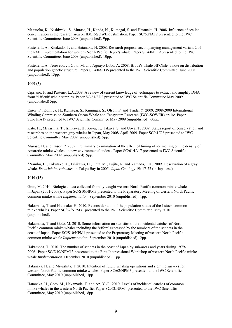Matsuoka, K., Nishiwaki, S., Murase, H., Kanda, N., Kumagai, S. and Hatanaka, H. 2008. Influence of sea ice concentration in the research area on IDCR-SOWER estimation. Paper SC/60/IA12 presented to the IWC Scientific Committee, June 2008 (unpublished). 9pp.

Pastene, L.A., Kitakado, T. and Hatanaka, H. 2008. Research proposal accompanying management variant 2 of the RMP Implementation for western North Pacific Bryde's whale. Paper SC/60/PFI9 presented to the IWC Scientific Committee, June 2008 (unpublished). 10pp.

Pastene, L.A., Acevedo, J., Goto, M. and Aguayo-Lobo, A. 2008. Bryde's whale off Chile: a note on distribution and population genetic structure. Paper SC/60/SH35 presented to the IWC Scientific Committee, June 2008 (unpublished). 13pp.

#### **2009 (5)**

Cipriano, F. and Pastene, L.A.2009. A review of current knowledge of techniques to extract and amplify DNA from 'difficult' whale samples. Paper SC/61/SD2 presented to IWC Scientific Committee May 2009 (unpublished) 5pp.

Ensor, P., Komiya, H., Kumagai, S., Kuningas, S., Olson, P. and Tsuda, Y. 2009. 2008-2009 International Whaling Commission-Southern Ocean Whale and Ecosystem Research (IWC-SOWER) cruise. Paper SC/61/IA19 presented to IWC Scientific Committee May 2009 (unpublished). 60pp.

Kato, H., Miyashita, T., Ishikawa, H., Koya, T., Takaya, S. and Uoya, T. 2009. Status report of conservation and researches on the western gray whales in Japan, May 2008-April 2009. Paper SC/61/O8 presented to IWC Scientific Committee May 2009 (unpublished). 5pp.

Murase, H. and Ensor, P. 2009. Preliminary examination of the effect of timing of ice melting on the density of Antarctic minke whales - a new environmental index-. Paper SC/61/IA17 presented to IWC Scientific Committee May 2009 (unpublished). 9pp.

\*Nambu, H., Tokutake, K., Ishikawa, H., Ohta, M., Fujita, K. and Yamada, T.K. 2009. Observation of a gray whale, *Eschrichtius robustus,* in Tokyo Bay in 2005. *Japan Cetology* 19: 17-22 (in Japanese).

#### **2010 (15)**

Goto, M. 2010. Biological data collected from by-caught western North Pacific common minke whales in Japan (2001-2009). Paper SC/S10/NPM3 presented to the Preparatory Meeting of western North Pacific common minke whale *Implementation*, September 2010 (unpublished). 1pp.

Hakamada, T. and Hatanaka, H. 2010. Reconsideration of the population status of the J stock common minke whales. Paper SC/62/NPM31 presented to the IWC Scientific Committee, May 2010 (unpublished).

Hakamada, T. and Goto, M. 2010. Some information on statistics of the incidental catches of North Pacific common minke whales including the 'effort' expressed by the numbers of the set nets in the coast of Japan. Paper SC/S10/NPM4 presented to the Preparatory Meeting of western North Pacific common minke whale *Implementation*, September 2010 (unpublished).2pp.

Hakamada, T. 2010. The number of set nets in the coast of Japan by sub-areas and years during 1979- 2006.Paper SC/D10/NPM13 presented to the First Intersessional Workshop of western North Pacific minke whale *Implementation*, December 2010 (unpublished). 1pp.

Hatanaka, H. and Miyashita, T. 2010. Intention of future whaling operations and sighting surveys for western North Pacific common minke whales. Paper SC/62/NPM3 presented to the IWC Scientific Committee, May 2010 (unpublished). 3pp.

Hatanaka, H., Goto, M., Hakamada, T. and An, Y.-R. 2010. Levels of incidental catches of common minke whales in the western North Pacific. Paper SC/62/NPM4 presented to the IWC Scientific Committee, May 2010 (unpublished). 8pp.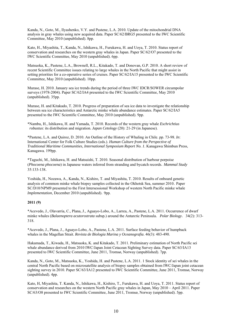Kanda, N., Goto, M., Ilyashenko, V.Y. and Pastene, L.A. 2010. Update of the mitochondrial DNA analysis in gray whales using new acquired data. Paper SC/62/BRG5 presented to the IWC Scientific Committee, May 2010 (unpublished). 8pp.

Kato, H., Miyashita, T., Kanda, N., Ishikawa, H., Furukawa, H. and Uoya, T. 2010. Status report of conservation and researches on the western gray whales in Japan. Paper SC/62/O7 presented to the IWC Scientific Committee, May 2010 (unpublished). 6pp.

Matsuoka, K., Pastene, L.A., Brownell, R.L., Kitakado, T. and Donovan, G.P. 2010. A short review of recent Scientific Committee issues relating to large whales in the North Pacific that might assist in setting priorities for a co-operative series of cruises. Paper SC/62/IA15 presented to the IWC Scientific Committee, May 2010 (unpublished). 10pp.

Murase, H. 2010. January sea ice trends during the period of three IWC IDCR/SOWER circumpolar surveys (1978-2004). Paper SC/62/IA4 presented to the IWC Scientific Committee, May 2010 (unpublished). 35pp.

Murase, H. and Kitakado, T. 2010. Progress of preparation of sea ice data to investigate the relationship between sea ice characteristics and Antarctic minke whale abundance estimates. Paper SC/62/IA5 presented to the IWC Scientific Committee, May 2010 (unpublished). 9pp.

\*Nambu, H., Ishikawa, H. and Yamada, T. 2010. Records of the western gray whale *Eschrichtius robustus*: its distribution and migration. *Japan Cetology* (20): 21-29 (in Japanese).

\*Pastene, L.A. and Quiroz, D. 2010. An Outline of the History of Whaling in Chile. pp. 73-98. *In*: International Center for Folk Culture Studies (eds.). *Human Culture from the Perspective of Traditional Maritime Communities, International Symposium Report No. 1*. Kanagawa Shimbun Press, Kanagawa. 199pp.

\*Taguchi, M., Ishikawa, H. and Matsuishi, T. 2010. Seasonal distribution of harbour porpoise (*Phocoena phocoena*) in Japanese waters inferred from stranding and bycatch records.*Mammal Study* 35:133-138.

Yoshida, H., Nozawa, A., Kanda, N., Kishiro, T. and Miyashita, T. 2010. Results of onboard genetic analysis of common minke whale biopsy samples collected in the Okhotsk Sea, summer 2010. Paper SC/D10/NPM9 presented to the First Intersessional Workshop of western North Pacific minke whale *Implementation*, December 2010 (unpublished). 9pp.

#### **2011 (9)**

\*Acevedo, J., Olavarría, C., Plana, J., Aguayo-Lobo, A., Larrea, A., Pastene, L.A. 2011. Occurrence of dwarf minke whales (*Balaenoptera acutorostrata* subsp*.*) around the Antarctic Peninsula.*Polar Biology*.34(2): 313- 318.

\*Acevedo, J., Plana, J., Aguayo-Lobo, A., Pastene, L.A. 2011. Surface feeding behavior of humpback whales in the Magellan Strait. *Revista de Biologia Marina y Oceanografia*. 46(3): 483-490.

Hakamada, T., Kiwada, H., Matsuoka, K. and Kitakado, T. 2011. Preliminary estimation of North Pacific sei whale abundance derived from 2010 IWC/Japan Joint Cetacean Sighting Survey data. Paper SC/63/IA13 presented to IWC Scientific Committee, June 2011, Tromsø, Norway (unpublished). 7pp.

Kanda, N., Goto, M., Matsuoka, K., Yoshida, H. and Pastene, L.A. 2011. 1 Stock identity of sei whales in the central North Pacific based on microsatellite analysis of biopsy samples obtained from IWC/Japan joint cetacean sighting survey in 2010. Paper SC/63/IA12 presented to IWC Scientific Committee, June 2011, Tromsø, Norway (unpublished). 4pp.

Kato, H, Miyashita, T. Kanda, N., Ishikawa, H., Kishiro, T., Furukawa, H. and Uoya, T. 2011. Status report of conservation and researches on the western North Pacific gray whales in Japan, May 2010 – April 2011. Paper SC/63/O8 presented to IWC Scientific Committee, June 2011, Tromsø, Norway (unpublished). 5pp.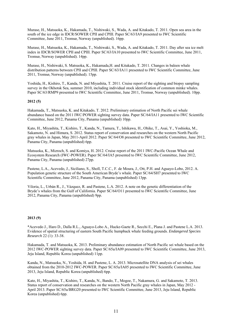Murase, H., Matsuoka, K., Hakamada, T., Nishiwaki, S., Wada, A. and Kitakado, T. 2011. Open sea area in the south of the ice edge in IDCR/SOWER CPII and CPIII. Paper SC/63/IA9 presented to IWC Scientific Committee, June 2011, Tromsø, Norway (unpublished). 16pp.

Murase, H., Matsuoka, K., Hakamada, T., Nishiwaki, S., Wada, A. and Kitakado, T. 2011. Day after sea ice melt index in IDCR/SOWER CPII and CPIII. Paper SC/63/IA10 presented to IWC Scientific Committee, June 2011, Tromsø, Norway (unpublished). 14pp.

Murase, H., Nishiwaki, S. Matsuoka, K., Hakamada,H. and Kitakado, T. 2011. Changes in baleen whale distribution patterns between CPII and CPIII. Paper SC/63/IA11 presented to IWC Scientific Committee, June 2011, Tromsø, Norway (unpublished). 15pp.

Yoshida, H., Kishiro, T., Kanda, N. and Miyashita, T. 2011. Cruise report of the sighting and biopsy sampling survey in the Okhotsk Sea, summer 2010, including individual stock identification of common minke whales. Paper SC/63/RMP9 presented to IWC Scientific Committee, June 2011, Tromsø, Norway (unpublished). 10pp.

#### **2012 (5)**

Hakamada, T., Matsuoka, K. and Kitakado, T. 2012. Preliminary estimation of North Pacific sei whale abundance based on the 2011 IWC/POWER sighting survey data. Paper SC/64/IA11 presented to IWC Scientific Committee, June 2012, Panama City, Panama (unpublished) 10pp.

Kato, H., Miyashita, T., Kishiro, T., Kanda, N., Tamura, T., Ishikawa, H., Ohike, T., Asai, Y., Yoshioka, M., Sakamoto, N. and Himura, S. 2012. Status report of conservation and researches on the western North Pacific gray whales in Japan, May 2011-April 2012. Paper SC/64/O8 presented to IWC Scientific Committee, June 2012, Panama City, Panama (unpublished) 6pp.

Matsuoka, K., Mizroch, S. and Komiya, H. 2012. Cruise report of the 2011 IWC-Pacific Ocean Whale and Ecosystem Research (IWC-POWER). Paper SC/64/IA5 presented to IWC Scientific Committee, June 2012, Panama City, Panama (unpublished) 27pp.

Pastene, L.A., Acevedo, J., Siciliano, S., Sholl, T.C.C., F. de Moura, J., Ott, P.H. and Aguayo-Lobo, 2012. A. Population genetic structure of the South American Bryde's whale. Paper SC/64/SH7 presented to IWC Scientific Committee, June 2012, Panama City, Panama (unpublished) 13pp.

Viloria, L., Urbán R., J., Vázquez, R. and Pastene, L.A. 2012. A note on the genetic differentiation of the Bryde's whales from the Gulf of California. Paper SC/64/O11 presented to IWC Scientific Committee, June 2012, Panama City, Panama (unpublished) 9pp.

#### **2013 (9)**

\*Acevedo J., Haro D., Dalla R.L., Aguayo-Lobo A., Hucke-Gaete R., Secchi E., Plana J. and Pastene L.A. 2013. Evidence of spatial structuring of eastern South Pacific humpback whale feeding grounds. *Endangered Species Research* 22 (1): 33-38.

Hakamada, T. and Matsuoka, K. 2013. Preliminary abundance estimation of North Pacific sei whale based on the 2012 IWC-POWER sighting survey data. Paper SC/65a/IA09 presented to IWC Scientific Committee, June 2013, Jeju Island, Republic Korea (unpublished) 11pp.

Kanda, N., Matsuoka, N., Yoshida, H. and Pastene, L. A. 2013. Microsatellite DNA analysis of sei whales obtained from the 2010-2012 IWC-POWER. Paper SC/65a/IA05 presented to IWC Scientific Committee, June 2013, Jeju Island, Republic Korea (unpublished) 6pp.

Kato, H., Miyashita, T., Kishiro, T., Kanda, N., Bando, T., Mogoe, T., Nakamura, G. and Sakamoto, T. 2013. Status report of conservation and researches on the western North Pacific gray whales in Japan, May 2012 - April 2013. Paper SC/65a/BRG20 presented to IWC Scientific Committee, June 2013, Jeju Island, Republic Korea (unpublished) 6pp.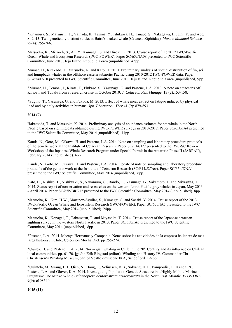\*Kitamura, S., Matsuishi, T., Yamada, K., Tajima, Y., Ishikawa, H., Tanabe, S., Nakagawa, H., Uni, Y. and Abe, S. 2013. Two genetically distinct stocks in Baird's beaked whale (Cetacea: Ziphiidae). *Marine Mammal Science* 29(4): 755-766.

Matsuoka, K., Mizroch, S., An, Y., Kumagai, S. and Hirose, K. 2013. Cruise report of the 2012 IWC-Pacific Ocean Whale and Ecosystem Research (IWC-POWER). Paper SC/65a/IA08 presented to IWC Scientific Committee, June 2013, Jeju Island, Republic Korea (unpublished) 43pp.

Murase, H., Kitakado, T., Matsuoka, K. and Kato, H. 2013. Preliminary analysis of spatial distribution of fin, sei and humpback whales in the offshore eastern subarctic Pacific using 2010-2012 IWC-POWER data. Paper SC/65a/IA10 presented to IWC Scientific Committee, June 2013, Jeju Island, Republic Korea (unpublished) 9pp.

\*Murase, H., Temoai, I., Kirata, T., Finkaso, S., Yasunaga, G. and Pastene, L.A. 2013. A note on cetaceans off Kiribati and Tuvalu from a research cruise in October 2010. *J. Cetacean Res. Manage*. 13 (2):153-158.

\*Sugino, T., Yasunaga, G. and Fukuda, M. 2013. Effect of whale meat extract on fatigue induced by physical load and by daily activities in humans. *Jpn. Pharmacol. Ther* 41 (9): 879-893.

#### **2014 (9)**

Hakamada, T. and Matsuoka, K. 2014. Preliminary analysis of abundance estimate for sei whale in the North Pacific based on sighting data obtained during IWC-POWER surveys in 2010-2012. Paper SC/65b/IA4 presented to the IWC Scientific Committee, May 2014 (unpublished). 11pp.

Kanda, N., Goto, M., Oikawa, H. and Pastene, L.A. 2014. Note on sampling and laboratory procedure protocols of the genetic work at the Institute of Cetacean Research. Paper SC/F14/J27 presented to the IWC/SC Review Workshop of the Japanese Whale Research Program under Special Permit in the Antarctic-Phase II (JARPAII), February 2014 (unpublished). 4pp.

Kanda, N., Goto, M., Oikawa, H. and Pastene, L.A. 2014. Update of note on sampling and laboratory procedure protocols of the genetic work at the Institute of Cetacean Research (SC/F14/J27rev). Paper SC/65b/DNA1 presented to the IWC Scientific Committee, May 2014 (unpublished). 6pp.

Kato, H., Kishiro, T., Nishiwaki, S., Nakamura, G., Bando, T., Yasunaga, G., Sakamoto, T. and Miyashita, T. 2014. Status report of conservation and researches on the western North Pacific gray whales in Japan, May 2013 - April 2014. Paper SC/65b/BRG12 presented to the IWC Scientific Committee, May 2014 (unpublished). 8pp.

Matsuoka, K., Kim, H.W., Martinez-Aguilar, S., Kumagai, S. and Sasaki, Y. 2014. Cruise report of the 2013 IWC-Pacific Ocean Whale and Ecosystem Research (IWC-POWER). Paper SC/65b/IA5 presented to the IWC Scientific Committee, May 2014 (unpublished). 24pp.

Matsuoka, K., Konagai, T., Takamatsu, T. and Miyashita, T. 2014. Cruise report of the Japanese cetacean sighting survey in the western North Pacific in 2013. Paper SC/65b/IA6 presented to the IWC Scientific Committee, May 2014 (unpublished). 8pp.

\*Pastene, L.A. 2014. Macaya Hermanos y Compania. Notas sobre las actividades de la empresa ballenera de más larga historia en Chile. Colección Mocha Dick pp 255-274.

\*Quiroz, D. and Pastene, L.A. 2014. Norwegian whaling in Chile in the 20th Century and its influence on Chilean local communities. pp. 61-70. In: Jan Erik Ringstad (editor). Whaling and History IV. Commander Chr. Christensen's Whaling Museum, part of Vestfoldmuseene IKA, Sandefjord. 192pp.

\*Quintela, M., Skaug, H.J., Øien, N., Haug, T., Seliussen, B.B., Solvang, H.K., Pampoulie, C., Kanda, N., Pastene, L.A. and Glover, K.A. 2014. Investigating Population Genetic Structure in a Highly Mobile Marine Organism: The Minke Whale *Balaenoptera acutorostrata acutorostrata* in the North East Atlantic. *PLOS ONE* 9(9): e108640.

#### **2015 (11)**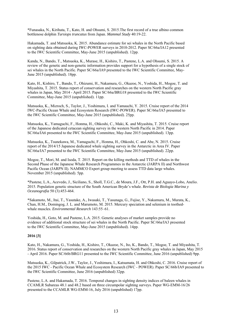\*Funasaka, N., Kirihata, T., Kato, H. and Ohsumi, S. 2015.The first record of a true albino common bottlenose dolphin *Tursiops truncatus* from Japan. *Mammal Study* 40:19-22.

Hakamada, T. and Matsuoka, K. 2015. Abundance estimate for sei whales in the North Pacific based on sighting data obtained during IWC-POWER surveys in 2010-2012. Paper SC/66a/IA12 presented to the IWC Scientific Committee, May-June 2015 (unpublished). 12pp.

Kanda, N., Bando, T., Matsuoka, K., Murase, H., Kishiro, T., Pastene, L.A. and Ohsumi, S. 2015. A review of the genetic and non-genetic information provides support for a hypothesis of a single stock of sei whales in the North Pacific. Paper SC/66a/IA9 presented to the IWC Scientific Committee, May-June 2015 (unpublished). 18pp.

Kato, H., Kishiro, T., Bando, T., Ohizumi, H., Nakamura, G., Okazoe, N., Yoshida, H., Mogoe, T. and Miyashita, T. 2015. Status report of conservation and researches on the western North Pacific gray whales in Japan, May 2014 - April 2015. Paper SC/66a/BRG18 presented to the IWC Scientific Committee, May-June 2015 (unpublished). 11pp.

Matsuoka, K., Mizroch, S., Taylor, J., Yoshimura, I. and Yamauchi, Y. 2015. Cruise report of the 2014 IWC-Pacific Ocean Whale and Ecosystem Research (IWC-POWER). Paper SC/66a/IA5 presented to the IWC Scientific Committee, May-June 2015 (unpublished). 25pp.

Matsuoka, K., Yamaguchi, F., Honma, H., Ohkoshi, C., Maki, K. and Miyashita, T. 2015. Cruise report of the Japanese dedicated cetacean sighting survey in the western North Pacific in 2014. Paper SC/66a/IA6 presented to the IWC Scientific Committee, May-June 2015 (unpublished). 13pp.

Matsuoka, K., Tsunekawa, M., Yamaguchi, F., Honma, H., Ohkoshi, C. and Abe, N. 2015. Cruise report of the 2014/15 Japanese dedicated whale sighting survey in the Antarctic in Area IV. Paper SC/66a/IA7 presented to the IWC Scientific Committee, May-June 2015 (unpublished). 22pp.

Mogoe, T., Mori, M. and Isoda, T. 2015. Report on the killing methods and TTD of whales in the Second Phase of the Japanese Whale Research Programmes in the Antarctic (JARPA II) and Northwest Pacific Ocean (JARPN II). NAMMCO Expert group meeting to assess TTD data large whales. November 2015 (unpublished). 5pp.

\*Pastene, L.A., Acevedo, J., Siciliano, S., Sholl, T.G.C., de Moura, J.F., Ott, P.H. and Aguayo-Lobo, Anelio. 2015. Population genetic structure of the South American Bryde's whale. *Revista de Biologia Marina y Oceanografia* 50 (3):453-464.

\*Sakamoto, M., Itai, T., Yasutake, A., Iwasaki, T., Yasunaga, G., Fujise, Y., Nakamura, M., Murata, K., Chan, H.M., Domingog, J. L. and Marumoto, M. 2015. Mercury speciation and selenium in toothedwhale muscles. *Environmental Research* 143:55–61.

Yoshida, H., Goto, M. and Pastene, L.A. 2015. Genetic analyses of market samples provide no evidence of additional stock structure of sei whales in the North Pacific. Paper SC/66a/IA3 presented to the IWC Scientific Committee, May-June 2015 (unpublished). 14pp.

#### **2016 [3]**

Kato, H., Nakamura, G., Yoshida, H., Kishiro, T., Okazoe, N., Ito, K., Bando, T., Mogoe, T. and Miyashita, T. 2016. Status report of conservation and researches on the western North Pacific gray whales in Japan, May 2015 - April 2016. Paper SC/66b/BRG11 presented to the IWC Scientific Committee, June 2016 (unpublished) 9pp.

Matsuoka, K., Gilpatrick, J.W., Taylor, J., Yoshimura, I., Katsumata, H. and Ohkoshi, C. 2016. Cruise report of the 2015 IWC - Pacific Ocean Whale and Ecosystem Research (IWC - POWER). Paper SC/66b/IA9 presented to the IWC Scientific Committee, June 2016 (unpublished) 32pp.

Pastene, L.A. and Hakamada, T. 2016. Temporal changes in sighting density indices of baleen whales in CCAMLR Subareas 48.1 and 48.2 based on three circumpolar sighting surveys. Paper WG-EMM-16/26 presented to the CCAMLR WG-EMM-16, July 2016 (unpublished) 17pp.